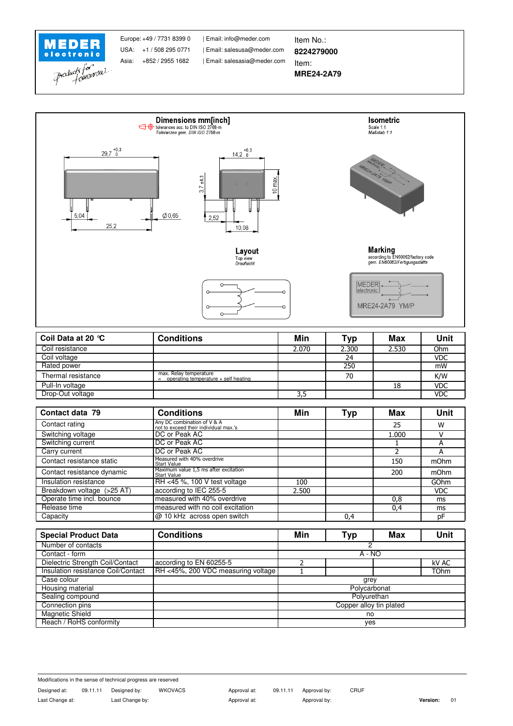



| Coil Data at 20 °C | <b>Conditions</b>                                                     | Min   | Typ   | Max   | Unit       |
|--------------------|-----------------------------------------------------------------------|-------|-------|-------|------------|
| Coil resistance    |                                                                       | 2.070 | 2.300 | 2.530 | Ohm        |
| Coil voltage       |                                                                       |       | 24    |       | <b>VDC</b> |
| Rated power        |                                                                       |       | 250   |       | mW         |
| Thermal resistance | max. Relay temperature<br>operating temperature + self heating<br>$=$ |       | 70    |       | K/W        |
| Pull-In voltage    |                                                                       |       |       | 18    | <b>VDC</b> |
| Drop-Out voltage   |                                                                       | 3,5   |       |       | <b>VDC</b> |

| Contact data 79            | <b>Conditions</b>                                                    | Min   | Typ | Max   | <b>Unit</b> |
|----------------------------|----------------------------------------------------------------------|-------|-----|-------|-------------|
| Contact rating             | Any DC combination of V & A<br>not to exceed their individual max.'s |       |     | 25    | W           |
| Switching voltage          | DC or Peak AC                                                        |       |     | 1.000 |             |
| Switching current          | DC or Peak AC                                                        |       |     |       | А           |
| Carry current              | DC or Peak AC                                                        |       |     |       | А           |
| Contact resistance static  | Measured with 40% overdrive<br><b>Start Value</b>                    |       |     | 150   | mOhm        |
| Contact resistance dynamic | Maximum value 1,5 ms after excitation<br><b>Start Value</b>          |       |     | 200   | mOhm        |
| Insulation resistance      | RH <45 %, 100 V test voltage                                         | 100   |     |       | GOhm        |
| Breakdown voltage (>25 AT) | according to IEC 255-5                                               | 2.500 |     |       | <b>VDC</b>  |
| Operate time incl. bounce  | measured with 40% overdrive                                          |       |     | 0,8   | ms          |
| Release time               | measured with no coil excitation                                     |       |     | 0,4   | ms          |
| Capacity                   | $ @10$ kHz across open switch                                        |       | 0,4 |       | рF          |

| <b>Special Product Data</b>        | <b>Conditions</b>                  | Min                     | Typ | Max | <b>Unit</b> |
|------------------------------------|------------------------------------|-------------------------|-----|-----|-------------|
| Number of contacts                 |                                    |                         |     |     |             |
| Contact - form                     |                                    | $A - NO$                |     |     |             |
| Dielectric Strength Coil/Contact   | according to EN 60255-5            |                         |     |     | kV AC       |
| Insulation resistance Coil/Contact | RH <45%, 200 VDC measuring voltage |                         |     |     | <b>TOhm</b> |
| Case colour                        |                                    | grey                    |     |     |             |
| Housing material                   |                                    | Polycarbonat            |     |     |             |
| Sealing compound                   |                                    | Polyurethan             |     |     |             |
| Connection pins                    |                                    | Copper alloy tin plated |     |     |             |
| Magnetic Shield                    |                                    | no                      |     |     |             |
| Reach / RoHS conformity            |                                    | yes                     |     |     |             |